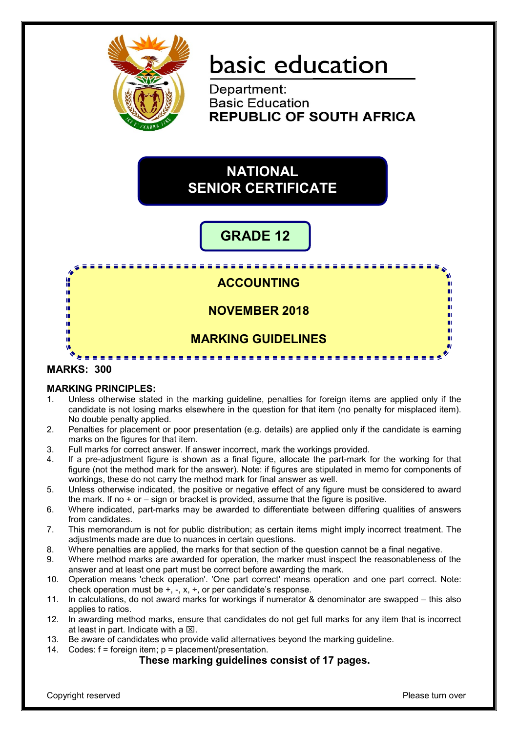

# basic education

Department: **Basic Education REPUBLIC OF SOUTH AFRICA** 

# **NATIONAL SENIOR CERTIFICATE**

# **GRADE 12**

**ACCOUNTING NOVEMBER 2018 MARKING GUIDELINES** ----------------

# **MARKS: 300**

僧 ú,

ΙÚ, ú. m m 'n í.

# **MARKING PRINCIPLES:**

- 1. Unless otherwise stated in the marking guideline, penalties for foreign items are applied only if the candidate is not losing marks elsewhere in the question for that item (no penalty for misplaced item). No double penalty applied.
- 2. Penalties for placement or poor presentation (e.g. details) are applied only if the candidate is earning marks on the figures for that item.
- 3. Full marks for correct answer. If answer incorrect, mark the workings provided.
- 4. If a pre-adjustment figure is shown as a final figure, allocate the part-mark for the working for that figure (not the method mark for the answer). Note: if figures are stipulated in memo for components of workings, these do not carry the method mark for final answer as well.
- 5. Unless otherwise indicated, the positive or negative effect of any figure must be considered to award the mark. If no + or – sign or bracket is provided, assume that the figure is positive.
- 6. Where indicated, part-marks may be awarded to differentiate between differing qualities of answers from candidates.
- 7. This memorandum is not for public distribution; as certain items might imply incorrect treatment. The adjustments made are due to nuances in certain questions.
- 8. Where penalties are applied, the marks for that section of the question cannot be a final negative.
- 9. Where method marks are awarded for operation, the marker must inspect the reasonableness of the answer and at least one part must be correct before awarding the mark.
- 10. Operation means 'check operation'. 'One part correct' means operation and one part correct. Note: check operation must be  $+$ ,  $-$ ,  $x$ ,  $\div$ , or per candidate's response.
- 11. In calculations, do not award marks for workings if numerator & denominator are swapped this also applies to ratios.
- 12. In awarding method marks, ensure that candidates do not get full marks for any item that is incorrect at least in part. Indicate with a  $\boxtimes$ .
- 13. Be aware of candidates who provide valid alternatives beyond the marking guideline.
- 14. Codes:  $f =$  foreign item;  $p =$  placement/presentation.

### **These marking guidelines consist of 17 pages.**

Copyright reserved **Please turn over the Copyright reserved** Please turn over

п m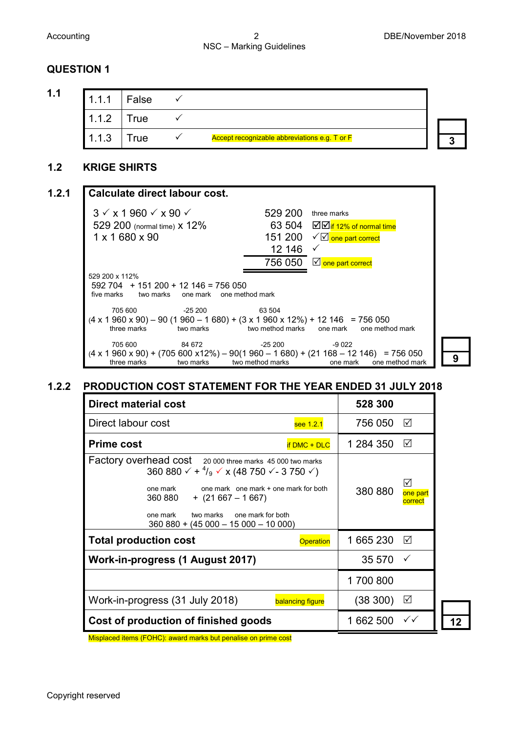# Accounting 2 DBE/November 2018 NSC – Marking Guidelines

# **QUESTION 1**

| 1.1 | $-1$           | False |                                               |  |
|-----|----------------|-------|-----------------------------------------------|--|
|     | $\sim$<br>и    | rue   |                                               |  |
|     | 12<br>ن. ۱ . ۱ | rue   | Accept recognizable abbreviations e.g. T or F |  |

# **1.2 KRIGE SHIRTS**

| 1.2.1 | Calculate direct labour cost.                                                                                               |                           |                                         |  |
|-------|-----------------------------------------------------------------------------------------------------------------------------|---------------------------|-----------------------------------------|--|
|       | $3 \times x$ 1960 $\times x$ 90 $\times$                                                                                    | 529 200                   | three marks                             |  |
|       | 529 200 (normal time) x 12%                                                                                                 |                           | 63 504 $\Box$ $\Box$ 12% of normal time |  |
|       | 1 x 1 680 x 90                                                                                                              | 151 200                   | $\sqrt{2}$ one part correct             |  |
|       |                                                                                                                             | 12 146                    | $\checkmark$                            |  |
|       |                                                                                                                             |                           | 756 050 $\boxtimes$ one part correct    |  |
|       | 529 200 x 112%<br>$592\,704$ + 151 200 + 12 146 = 756 050<br>two marks<br>one mark one method mark<br>five marks            |                           |                                         |  |
|       | 705 600<br>$-25,200$                                                                                                        | 63 504                    |                                         |  |
|       | $(4 \times 1960 \times 90) - 90 (1960 - 1680) + (3 \times 1960 \times 12\%) + 12146 = 756050$<br>two marks<br>three marks   | two method marks one mark | one method mark                         |  |
|       | 705 600<br>84 672                                                                                                           | -25 200                   | $-9022$                                 |  |
|       | $(4 \times 1960 \times 90) + (705600 \times 12\%) - 90(1960 - 1680) + (21168 - 12146) = 756050$<br>two marks<br>three marks | two method marks          | one method mark<br>one mark             |  |

# **1.2.2 PRODUCTION COST STATEMENT FOR THE YEAR ENDED 31 JULY 2018**

| Direct material cost                                                                                                                                                                                                                                                                                            | 528 300   |                     |
|-----------------------------------------------------------------------------------------------------------------------------------------------------------------------------------------------------------------------------------------------------------------------------------------------------------------|-----------|---------------------|
| Direct labour cost<br>see 1.2.1                                                                                                                                                                                                                                                                                 | 756 050   | $\triangledown$     |
| <b>Prime cost</b><br>if DMC + DLC                                                                                                                                                                                                                                                                               | 1 284 350 | $\triangledown$     |
| Factory overhead cost 20 000 three marks 45 000 two marks<br>360 880 $\sqrt{+4/9}$ $\sqrt{x}$ (48 750 $\sqrt{-3}$ 750 $\sqrt{x}$ )<br>one mark one mark + one mark for both<br>one mark<br>360 880<br>$+$ (21 667 – 1 667)<br>two marks one mark for both<br>one mark<br>$360 880 + (45 000 - 15 000 - 10 000)$ | 380 880   | one part<br>correct |
| <b>Total production cost</b><br><b>Operation</b>                                                                                                                                                                                                                                                                | 1 665 230 | $\sqrt{ }$          |
| Work-in-progress (1 August 2017)                                                                                                                                                                                                                                                                                | 35 570    | $\checkmark$        |
|                                                                                                                                                                                                                                                                                                                 | 1700800   |                     |
| Work-in-progress (31 July 2018)<br>balancing figure                                                                                                                                                                                                                                                             | (38 300)  | $\sqrt{ }$          |
| Cost of production of finished goods                                                                                                                                                                                                                                                                            | 1 662 500 | $\checkmark$        |

**12**

Misplaced items (FOHC): award marks but penalise on prime cost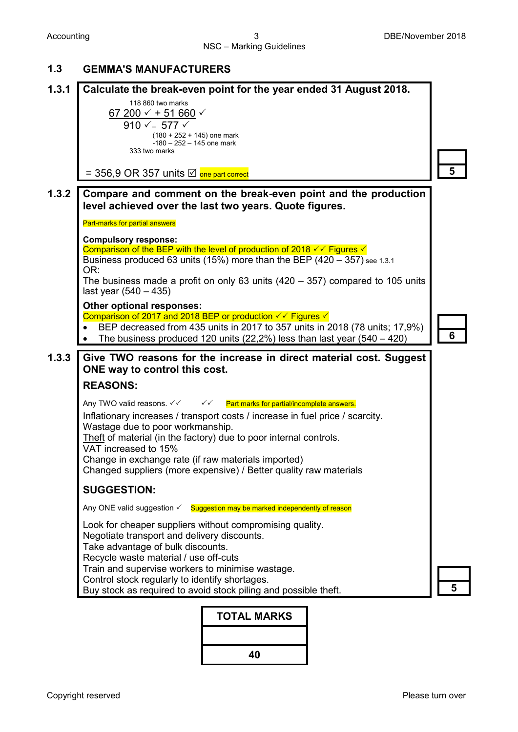# **1.3 GEMMA'S MANUFACTURERS**



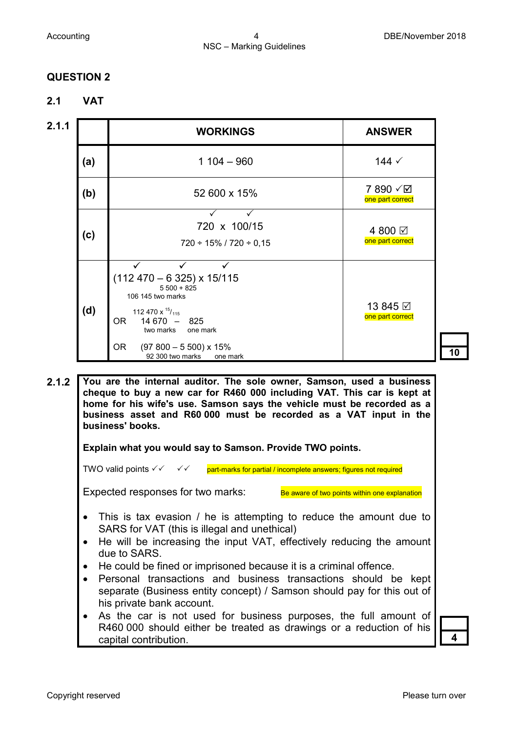



**2.1.2 You are the internal auditor. The sole owner, Samson, used a business cheque to buy a new car for R460 000 including VAT. This car is kept at home for his wife's use. Samson says the vehicle must be recorded as a business asset and R60 000 must be recorded as a VAT input in the business' books.**

**Explain what you would say to Samson. Provide TWO points.**

TWO valid points  $\sqrt{ }$   $\sqrt{ }$   $\sqrt{ }$  part-marks for partial / incomplete answers; figures not required

Expected responses for two marks: Be aware of two points within one explanation

- This is tax evasion / he is attempting to reduce the amount due to SARS for VAT (this is illegal and unethical)
- He will be increasing the input VAT, effectively reducing the amount due to SARS.
- He could be fined or imprisoned because it is a criminal offence.
- Personal transactions and business transactions should be kept separate (Business entity concept) / Samson should pay for this out of his private bank account.
- As the car is not used for business purposes, the full amount of R460 000 should either be treated as drawings or a reduction of his capital contribution. **4**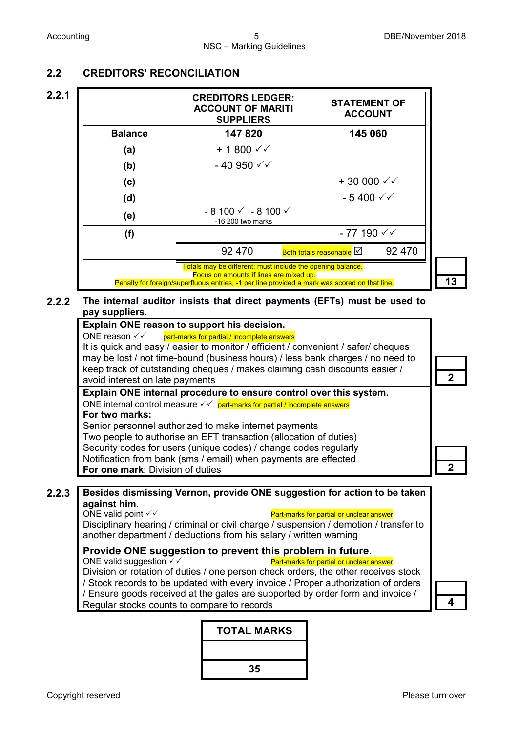# **2.2 CREDITORS' RECONCILIATION**

|                | <b>CREDITORS LEDGER:</b><br><b>ACCOUNT OF MARITI</b><br><b>SUPPLIERS</b>                                                                                                                               | <b>STATEMENT OF</b><br><b>ACCOUNT</b> |
|----------------|--------------------------------------------------------------------------------------------------------------------------------------------------------------------------------------------------------|---------------------------------------|
| <b>Balance</b> | 147820                                                                                                                                                                                                 | 145 060                               |
| (a)            | $+1800 \sqrt{}$                                                                                                                                                                                        |                                       |
| (b)            | $-40950 \sqrt{ }$                                                                                                                                                                                      |                                       |
| (c)            |                                                                                                                                                                                                        | $+30000 \sqrt{}$                      |
| (d)            |                                                                                                                                                                                                        | $-5400 \sqrt{ }$                      |
| (e)            | $-8100 \checkmark - 8100 \checkmark$<br>-16 200 two marks                                                                                                                                              |                                       |
| (f)            |                                                                                                                                                                                                        | $-77190$ $\checkmark$                 |
|                | 92 470                                                                                                                                                                                                 | 92 470<br>Both totals reasonable V    |
|                | Totals may be different; must include the opening balance.<br>Focus on amounts if lines are mixed up.<br>Penalty for foreign/superfluous entries; -1 per line provided a mark was scored on that line. |                                       |

### **2.2.2 The internal auditor insists that direct payments (EFTs) must be used to pay suppliers.**

**Explain ONE reason to support his decision.** ONE reason  $\checkmark$   $\checkmark$  part-marks for partial / incomplete answers It is quick and easy / easier to monitor / efficient / convenient / safer/ cheques may be lost / not time-bound (business hours) / less bank charges / no need to keep track of outstanding cheques / makes claiming cash discounts easier / avoid interest on late payments **2 Explain ONE internal procedure to ensure control over this system.** ONE internal control measure  $\sqrt{ }$  part-marks for partial / incomplete answers **For two marks:** Senior personnel authorized to make internet payments Two people to authorise an EFT transaction (allocation of duties) Security codes for users (unique codes) / change codes regularly Notification from bank (sms / email) when payments are effected **For one mark**: Division of duties **2**

# **2.2.3 Besides dismissing Vernon, provide ONE suggestion for action to be taken against him.**<br>ONE valid point  $\checkmark\checkmark$

Part-marks for partial or unclear answer Disciplinary hearing / criminal or civil charge / suspension / demotion / transfer to another department / deductions from his salary / written warning

**Provide ONE suggestion to prevent this problem in future.**<br>ONE valid suggestion  $\checkmark$ Part-marks for partial or unclear answer Division or rotation of duties / one person check orders, the other receives stock / Stock records to be updated with every invoice / Proper authorization of orders / Ensure goods received at the gates are supported by order form and invoice / Regular stocks counts to compare to records **4**



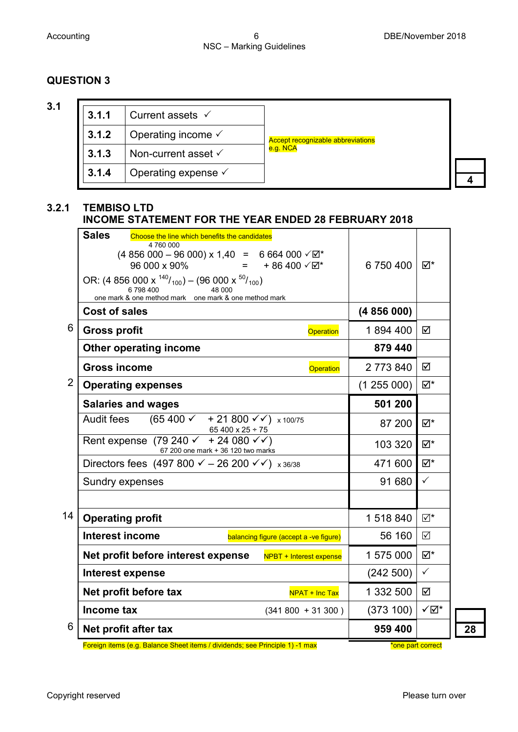| I<br>ł<br>×<br>۰. | o |
|-------------------|---|
|                   |   |

| 3.1.1 | Current assets $\checkmark$    |                                          |  |
|-------|--------------------------------|------------------------------------------|--|
| 3.1.2 | Operating income $\checkmark$  | <b>Accept recognizable abbreviations</b> |  |
| 3.1.3 | Non-current asset $\checkmark$ | e.g. NCA                                 |  |
| 3.1.4 | Operating expense $\checkmark$ |                                          |  |

# **3.2.1 TEMBISO LTD**

# **INCOME STATEMENT FOR THE YEAR ENDED 28 FEBRUARY 2018**

| <b>Sales</b><br>Choose the line which benefits the candidates<br>4760000                                                                      |           |                         |
|-----------------------------------------------------------------------------------------------------------------------------------------------|-----------|-------------------------|
| $(4856000 - 96000) \times 1,40 = 6664000 \times \text{M}$ *<br>96 000 x 90%<br>$=$ + 86 400 $\sqrt{\omega}$ *                                 | 6750400   | তা*                     |
| OR: (4 856 000 x $^{140}/_{100}$ ) – (96 000 x $^{50}/_{100}$ )<br>6798400<br>48 000<br>one mark & one method mark one mark & one method mark |           |                         |
| <b>Cost of sales</b>                                                                                                                          | (4856000) |                         |
| 6<br><b>Gross profit</b><br><b>Operation</b>                                                                                                  | 1894 400  | ☑                       |
| <b>Other operating income</b>                                                                                                                 | 879 440   |                         |
| <b>Gross income</b><br><b>Operation</b>                                                                                                       | 2 773 840 | ☑                       |
| $\overline{2}$<br><b>Operating expenses</b>                                                                                                   | (1255000) | ⊠*                      |
| <b>Salaries and wages</b>                                                                                                                     | 501 200   |                         |
| $(65\,400 \times + 21\,800 \times \sqrt{)}$ x 100/75<br>Audit fees<br>65 400 x 25 ÷ 75                                                        | 87 200    | ⊠*                      |
| Rent expense (79 240 $\checkmark$ + 24 080 $\checkmark$ )<br>67 200 one mark + 36 120 two marks                                               | 103 320   | ⊠*                      |
| Directors fees (497 800 $\checkmark$ – 26 200 $\checkmark$ $\checkmark$ ) x 36/38                                                             | 471 600   | ⊠*                      |
| Sundry expenses                                                                                                                               | 91 680    | $\checkmark$            |
| 14<br><b>Operating profit</b>                                                                                                                 | 1 518 840 | $\overline{\vee}^*$     |
| <b>Interest income</b><br>balancing figure (accept a -ve figure)                                                                              | 56 160    | ☑                       |
| Net profit before interest expense<br>NPBT + Interest expense                                                                                 | 1 575 000 | ⊠*                      |
| Interest expense                                                                                                                              | (242 500) | $\checkmark$            |
| Net profit before tax<br><b>NPAT + Inc Tax</b>                                                                                                | 1 332 500 | ☑                       |
| Income tax<br>$(341 800 + 31 300)$                                                                                                            | (373 100) | $\sqrt{\Delta}^{\star}$ |
| 6<br>Net profit after tax                                                                                                                     | 959 400   |                         |
| Eoroign itoms (e.g. Ralance Shoot itoms / dividende: see Principle 1) 1 may                                                                   |           | ano part corroct        |

Foreign items (e.g. Balance Sheet items / dividends; see Principle 1) -1 max **\*** and the part correct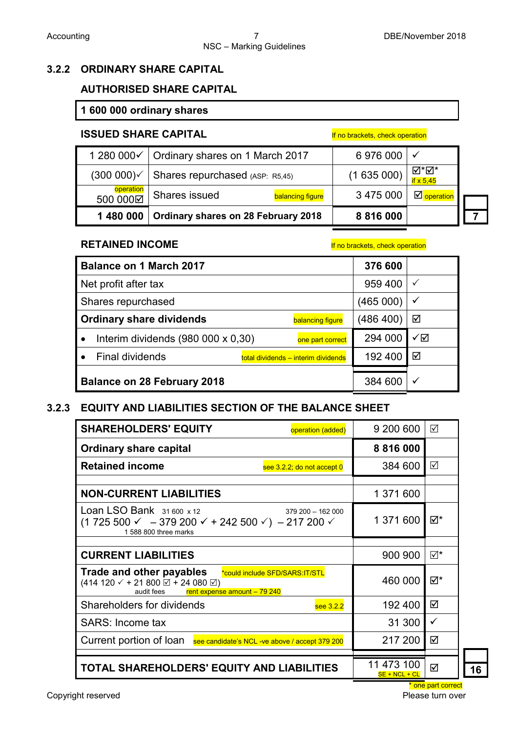# **3.2.2 ORDINARY SHARE CAPITAL**

# **AUTHORISED SHARE CAPITAL**

## **1 600 000 ordinary shares**

# **ISSUED SHARE CAPITAL If no brackets, check operation**

| 1480000               | <b>Ordinary shares on 28 February 2018</b> | 8 8 1 6 0 0 0 |                     |  |
|-----------------------|--------------------------------------------|---------------|---------------------|--|
| operation<br>500 0000 | Shares issued<br><b>balancing figure</b>   | 3 475 000     | <b>⊡</b> operation  |  |
| (300000)              | Shares repurchased (ASP: R5,45)            | (1635000)     | ⊠*⊠*<br>if $x 5.45$ |  |
| 1 280 000√            | Ordinary shares on 1 March 2017            | 6976000       |                     |  |

# **RETAINED INCOME If no brackets, check operation**

| <b>Balance on 1 March 2017</b>                         |                  | 376 600      |              |
|--------------------------------------------------------|------------------|--------------|--------------|
| Net profit after tax                                   | 959 400          | $\checkmark$ |              |
| Shares repurchased                                     |                  | (465000)     | $\checkmark$ |
| <b>Ordinary share dividends</b><br>balancing figure    | (486 400)        | ☑            |              |
| Interim dividends $(980 000 x 0,30)$                   | one part correct | 294 000      | ✓☑           |
| Final dividends<br>total dividends - interim dividends |                  | 192 400      | ⊠            |
|                                                        |                  |              |              |
| <b>Balance on 28 February 2018</b>                     |                  | 384 600      | ✓            |

# **3.2.3 EQUITY AND LIABILITIES SECTION OF THE BALANCE SHEET**

| <b>SHAREHOLDERS' EQUITY</b><br>operation (added)                                                                                                                      | 9 200 600                     | ☑   |
|-----------------------------------------------------------------------------------------------------------------------------------------------------------------------|-------------------------------|-----|
| <b>Ordinary share capital</b>                                                                                                                                         | 8816000                       |     |
| <b>Retained income</b><br>see $3.2.2$ ; do not accept $0$                                                                                                             | 384 600                       | ☑   |
|                                                                                                                                                                       |                               |     |
| <b>NON-CURRENT LIABILITIES</b>                                                                                                                                        | 1 371 600                     |     |
| Loan LSO Bank $31\,600 \times 12$<br>379 200 - 162 000<br>$(1725500 \checkmark - 379200 \checkmark + 242500 \checkmark) - 217200 \checkmark$<br>1 588 800 three marks | 1 371 600                     | ⊠*  |
|                                                                                                                                                                       |                               |     |
| <b>CURRENT LIABILITIES</b>                                                                                                                                            | 900 900                       | ∣√* |
| <b>Trade and other payables</b><br>*could include SFD/SARS:IT/STL<br>$(414 120 \vee 121 800 \boxtimes 124 080 \boxtimes)$<br>audit fees rent expense amount - 79 240  | 460 000                       | ⊠*  |
| Shareholders for dividends<br>see 3.2.2                                                                                                                               | 192 400                       | ☑   |
| SARS: Income tax                                                                                                                                                      | 31 300                        | ✓   |
| Current portion of loan see candidate's NCL -ve above / accept 379 200                                                                                                | 217 200                       | ☑   |
|                                                                                                                                                                       |                               |     |
| TOTAL SHAREHOLDERS' EQUITY AND LIABILITIES                                                                                                                            | 11 473 100<br>$SE + NCL + CL$ | ☑   |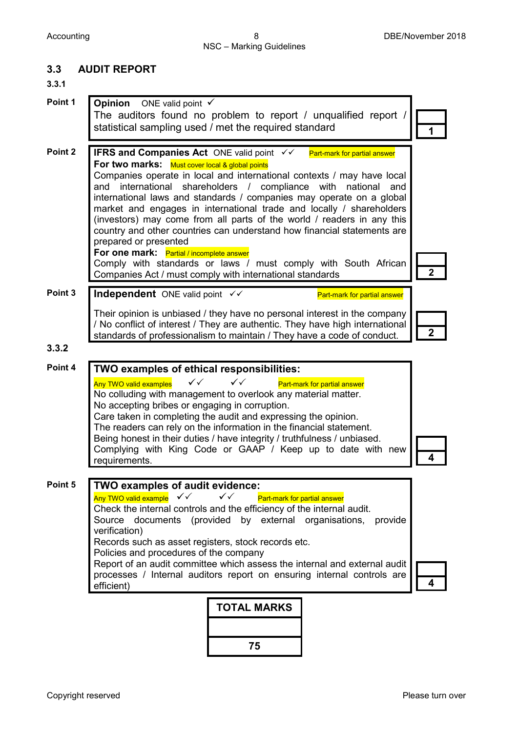# Accounting 8 DBE/November 2018 NSC – Marking Guidelines

# **3.3 AUDIT REPORT**

# **3.3.1**

| Point 1 | <b>Opinion</b> ONE valid point $\checkmark$<br>The auditors found no problem to report / unqualified report /<br>statistical sampling used / met the required standard                                                                                                                                                                                                                                                                                                                                                                                                                                                                                                                                                                                                                                           |  |
|---------|------------------------------------------------------------------------------------------------------------------------------------------------------------------------------------------------------------------------------------------------------------------------------------------------------------------------------------------------------------------------------------------------------------------------------------------------------------------------------------------------------------------------------------------------------------------------------------------------------------------------------------------------------------------------------------------------------------------------------------------------------------------------------------------------------------------|--|
| Point 2 | <b>IFRS and Companies Act</b> ONE valid point $\checkmark$<br>Part-mark for partial answer<br>For two marks: Must cover local & global points<br>Companies operate in local and international contexts / may have local<br>international<br>shareholders / compliance<br>national<br>with<br>and<br>and<br>international laws and standards / companies may operate on a global<br>market and engages in international trade and locally / shareholders<br>(investors) may come from all parts of the world / readers in any this<br>country and other countries can understand how financial statements are<br>prepared or presented<br>For one mark: Partial / incomplete answer<br>Comply with standards or laws / must comply with South African<br>Companies Act / must comply with international standards |  |
| Point 3 | Independent ONE valid point $\checkmark$<br>Part-mark for partial answer                                                                                                                                                                                                                                                                                                                                                                                                                                                                                                                                                                                                                                                                                                                                         |  |
|         | Their opinion is unbiased / they have no personal interest in the company<br>/ No conflict of interest / They are authentic. They have high international<br>standards of professionalism to maintain / They have a code of conduct.                                                                                                                                                                                                                                                                                                                                                                                                                                                                                                                                                                             |  |
| 3.3.2   |                                                                                                                                                                                                                                                                                                                                                                                                                                                                                                                                                                                                                                                                                                                                                                                                                  |  |
| Point 4 | TWO examples of ethical responsibilities:<br>$\checkmark$<br>Any TWO valid examples<br>Part-mark for partial answer<br>No colluding with management to overlook any material matter.<br>No accepting bribes or engaging in corruption.<br>Care taken in completing the audit and expressing the opinion.<br>The readers can rely on the information in the financial statement.<br>Being honest in their duties / have integrity / truthfulness / unbiased.<br>Complying with King Code or GAAP / Keep up to date with new<br>requirements.                                                                                                                                                                                                                                                                      |  |
| Point 5 | <b>TWO examples of audit evidence:</b><br>$\checkmark$<br>Any TWO valid example $\checkmark$<br>Part-mark for partial answer<br>Check the internal controls and the efficiency of the internal audit.<br>Source documents (provided by external organisations, provide<br>verification)<br>Records such as asset registers, stock records etc.<br>Policies and procedures of the company<br>Report of an audit committee which assess the internal and external audit<br>processes / Internal auditors report on ensuring internal controls are<br>efficient)                                                                                                                                                                                                                                                    |  |
|         | <b>TOTAL MARKS</b>                                                                                                                                                                                                                                                                                                                                                                                                                                                                                                                                                                                                                                                                                                                                                                                               |  |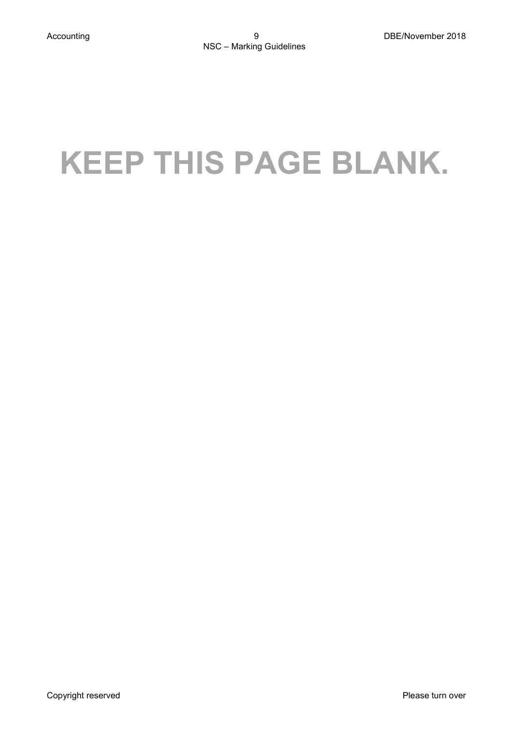# **KEEP THIS PAGE BLANK.**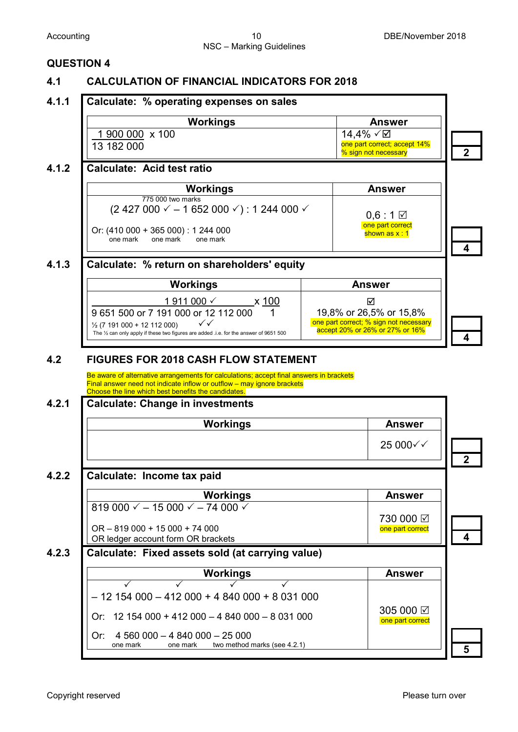# **4.1 CALCULATION OF FINANCIAL INDICATORS FOR 2018**

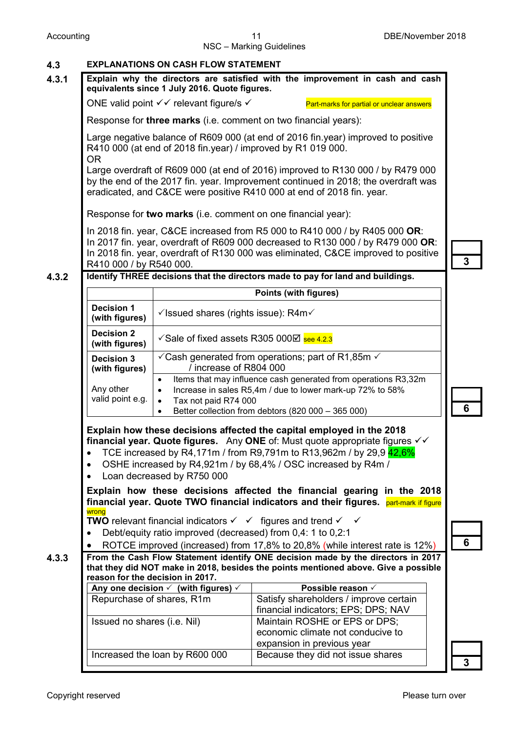#### Accounting 11 DBE/November 2018 NSC – Marking Guidelines

**4.3 EXPLANATIONS ON CASH FLOW STATEMENT 4.3.1 Explain why the directors are satisfied with the improvement in cash and cash equivalents since 1 July 2016. Quote figures.** ONE valid point  $\checkmark$  relevant figure/s  $\checkmark$  relevant figure/s  $\checkmark$  part-marks for partial or unclear answers Response for **three marks** (i.e. comment on two financial years): Large negative balance of R609 000 (at end of 2016 fin.year) improved to positive R410 000 (at end of 2018 fin.year) / improved by R1 019 000. OR Large overdraft of R609 000 (at end of 2016) improved to R130 000 / by R479 000 by the end of the 2017 fin. year. Improvement continued in 2018; the overdraft was eradicated, and C&CE were positive R410 000 at end of 2018 fin. year. Response for **two marks** (i.e. comment on one financial year): In 2018 fin. year, C&CE increased from R5 000 to R410 000 / by R405 000 **OR**: In 2017 fin. year, overdraft of R609 000 decreased to R130 000 / by R479 000 **OR**: In 2018 fin. year, overdraft of R130 000 was eliminated, C&CE improved to positive R410 000 / by R540 000. **4.3.2 Identify THREE decisions that the directors made to pay for land and buildings. Points (with figures) Decision 1** √Issued shares (rights issue): R4m√ **Decision 2 UPCISION 2**  $\sqrt{5}$   $\sqrt{5}$  Sale of fixed assets R305 000 $\overline{2}$  see 4.2.3 **Decision 3 (with figures)** Any other valid point e.g.  $\checkmark$  Cash generated from operations; part of R1,85m  $\checkmark$ / increase of R804 000 • Items that may influence cash generated from operations R3,32m • Increase in sales R5,4m / due to lower mark-up 72% to 58% • Tax not paid R74 000 • Better collection from debtors (820 000 – 365 000) **6 Explain how these decisions affected the capital employed in the 2018 financial year. Quote figures.** Any **ONE** of: Must quote appropriate figures • TCE increased by R4,171m / from R9,791m to R13,962m / by 29,9  $42,6\%$ • OSHE increased by R4,921m / by 68,4% / OSC increased by R4m / • Loan decreased by R750 000 **Explain how these decisions affected the financial gearing in the 2018 financial year. Quote TWO financial indicators and their figures.** part-mark if figure wrong **TWO** relevant financial indicators  $\checkmark$   $\checkmark$  figures and trend  $\checkmark$ • Debt/equity ratio improved (decreased) from 0,4: 1 to 0,2:1 • ROTCE improved (increased) from 17,8% to 20,8% (while interest rate is 12%) **6 4.3.3 From the Cash Flow Statement identify ONE decision made by the directors in 2017 that they did NOT make in 2018, besides the points mentioned above. Give a possible reason for the decision in 2017.** Any one decision  $\checkmark$  (with figures)  $\checkmark$  **Possible reason**  $\checkmark$ Repurchase of shares, R1m Satisfy shareholders / improve certain financial indicators; EPS; DPS; NAV Issued no shares (i.e. Nil) Maintain ROSHE or EPS or DPS; economic climate not conducive to expansion in previous year Increased the loan by R600 000 Because they did not issue shares **3**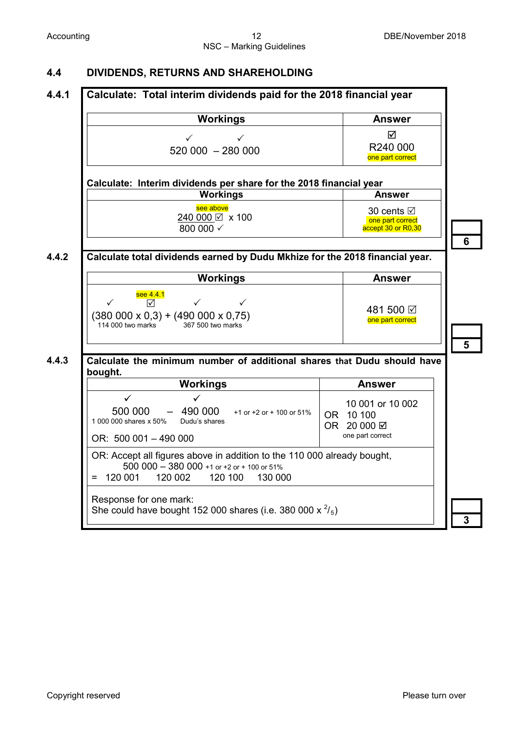# **4.4 DIVIDENDS, RETURNS AND SHAREHOLDING**

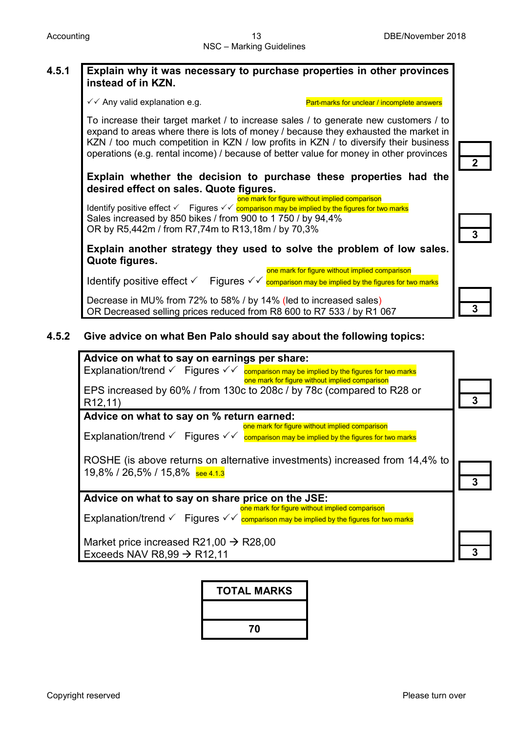# **4.5.1 Explain why it was necessary to purchase properties in other provinces instead of in KZN.**  $\sqrt{2}$  Any valid explanation e.g. Part-marks for unclear / incomplete answers To increase their target market / to increase sales / to generate new customers / to expand to areas where there is lots of money / because they exhausted the market in KZN / too much competition in KZN / low profits in KZN / to diversify their business operations (e.g. rental income) / because of better value for money in other provinces **2 Explain whether the decision to purchase these properties had the desired effect on sales. Quote figures.** one mark for figure without implied comparison Identify positive effect  $\checkmark$  Figures  $\checkmark\checkmark$  comparison may be implied by the figures for two marks Sales increased by 850 bikes / from 900 to 1 750 / by 94,4% OR by R5,442m / from R7,74m to R13,18m / by 70,3% **Explain another strategy they used to solve the problem of low sales. Quote figures.** one mark for figure without implied comparison Identify positive effect  $\checkmark$  Figures  $\checkmark\checkmark$  comparison may be implied by the figures for two marks Decrease in MU% from 72% to 58% / by 14% (led to increased sales) OR Decreased selling prices reduced from R8 600 to R7 533 / by R1 067

### **4.5.2 Give advice on what Ben Palo should say about the following topics:**

| Advice on what to say on earnings per share:                                                                                                                           |  |
|------------------------------------------------------------------------------------------------------------------------------------------------------------------------|--|
| Explanation/trend $\checkmark$ Figures $\checkmark\checkmark$ comparison may be implied by the figures for two marks<br>one mark for figure without implied comparison |  |
| EPS increased by 60% / from 130c to 208c / by 78c (compared to R28 or<br>R <sub>12</sub> , 11)                                                                         |  |
| Advice on what to say on % return earned:                                                                                                                              |  |
| one mark for figure without implied comparison<br>Explanation/trend $\checkmark$ Figures $\checkmark\checkmark$ comparison may be implied by the figures for two marks |  |
| ROSHE (is above returns on alternative investments) increased from 14,4% to<br>19,8% / 26,5% / 15,8% see 4.1.3                                                         |  |
| Advice on what to say on share price on the JSE:                                                                                                                       |  |
| one mark for figure without implied comparison<br>Explanation/trend $\checkmark$ Figures $\checkmark\checkmark$ comparison may be implied by the figures for two marks |  |
| Market price increased R21,00 $\rightarrow$ R28,00<br>Exceeds NAV R8,99 $\rightarrow$ R12,11                                                                           |  |

# **TOTAL MARKS 70**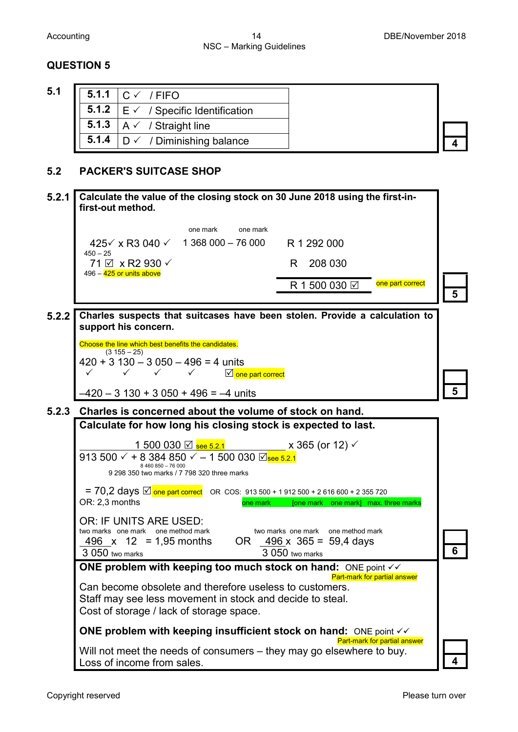# Accounting 14 DBE/November 2018 NSC – Marking Guidelines

# **QUESTION 5**

| 5.1 | 5.1.1 $\mid$ C $\lor$ / FIFO                                  |
|-----|---------------------------------------------------------------|
|     | <b>5.1.2</b> $\vert$ E $\checkmark$ / Specific Identification |
|     | 5.1.3 $ A \vee$ / Straight line                               |
|     | 5.1.4 $ D \vee$ / Diminishing balance                         |

# **5.2 PACKER'S SUITCASE SHOP**

# **5.2.1 Calculate the value of the closing stock on 30 June 2018 using the first-infirst-out method.** one mark one mark  $425\sqrt{x}$  R3 040  $\sqrt{ }$  1 368 000 - 76 000 R 1 292 000  $450 - 25$  $71 \boxtimes x$  R2 930  $\checkmark$  $496 - 425$  or units above R 208 030  $R$  1 500 030  $\overline{q}$  one part correct **5 5.2.2 Charles suspects that suitcases have been stolen. Provide a calculation to support his concern.** Choose the line which best benefits the candidates.  $(3155 - 25)$  $420 + 3130 - 3050 - 496 = 4$  units  $\sqrt{ }$   $\Box$  one part correct –420 – 3 130 + 3 050 + 496 = –4 units **5 5.2.3 Charles is concerned about the volume of stock on hand. Calculate for how long his closing stock is expected to last.**  $1\,500\,030\,\boxtimes\frac{1}{1}$  see 5.2.1 x 365 (or 12)  $\times$ 913 500  $\checkmark$  + 8 384 850  $\checkmark$  – 1 500 030  $\Box$ see 5.2.1  $8460 850 - 76 000$  9 <sup>298</sup> 350 two marks / 7 798 320 three marks  $= 70,2$  days  $\overline{\textcircled{\circ}}$  one part correct  $\overline{\textcircled{\circ}}$  OR COS: 913 500 + 1 912 500 + 2 616 600 + 2 355 720<br>OR: 2.3 months one mark [one mark one mark] max. three marks OR: IF UNITS ARE USED: two marks one mark one method mark two marks one mark one method mark 496 x 12 = 1,95 months OR 496 x 365 = 59,4 days 3 050 two marks 3 050 two marks **6 ONE problem with keeping too much stock on hand:** ONE point  $\checkmark$  Part-mark for partial answer Can become obsolete and therefore useless to customers. Staff may see less movement in stock and decide to steal. Cost of storage / lack of storage space. **ONE problem with keeping insufficient stock on hand:** ONE point  $\checkmark\checkmark$  Part-mark for partial answer Will not meet the needs of consumers – they may go elsewhere to buy. Loss of income from sales. **4 4**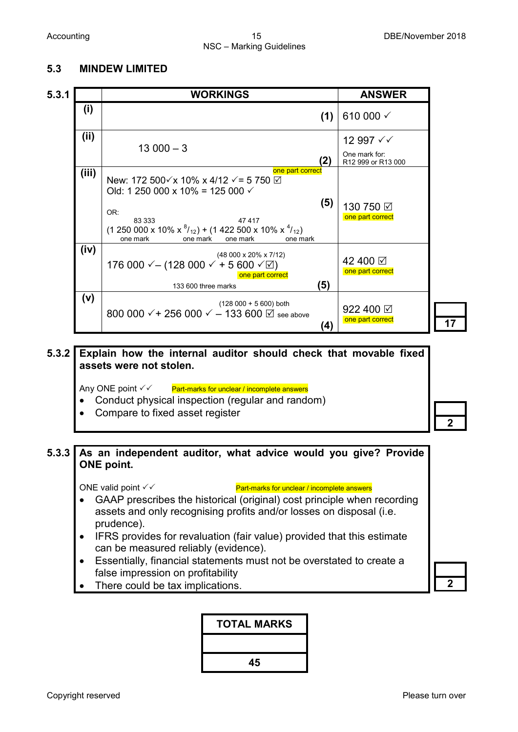# **5.3 MINDEW LIMITED**



| 5.3.1 |       | <b>WORKINGS</b>                                                                                                                                                                                                                                                                                              |     | <b>ANSWER</b>                                    |  |
|-------|-------|--------------------------------------------------------------------------------------------------------------------------------------------------------------------------------------------------------------------------------------------------------------------------------------------------------------|-----|--------------------------------------------------|--|
|       | (i)   |                                                                                                                                                                                                                                                                                                              | (1) | 610 000 $\checkmark$                             |  |
|       | (ii)  | $13000 - 3$                                                                                                                                                                                                                                                                                                  | (2) | 12 997 √√<br>One mark for:<br>R12 999 or R13 000 |  |
|       | (iii) | one part correct<br>New: 172 500√x 10% x 4/12 $\checkmark$ = 5 750 $\textcircled{1}$<br>Old: 1 250 000 x 10% = 125 000 $\checkmark$<br>OR:<br>83 333<br>47417<br>$(1 250 000 \times 10\% \times \frac{8}{12}) + (1 422 500 \times 10\% \times \frac{4}{12})$<br>one mark<br>one mark<br>one mark<br>one mark | (5) | 130 750 ☑<br>one part correct                    |  |
|       | (iv)  | $(48000 \times 20\% \times 7/12)$<br>176 000 $\checkmark$ – (128 000 $\checkmark$ + 5 600 $\checkmark$ $\boxdot$ )<br>one part correct<br>133 600 three marks                                                                                                                                                | (5) | 42 400 ☑<br>one part correct                     |  |
|       | (v)   | $(128000 + 5600)$ both<br>800 000 $\checkmark$ + 256 000 $\checkmark$ - 133 600 $\vec{\omega}$ see above                                                                                                                                                                                                     | (4) | 922 400 ☑<br>one part correct                    |  |

# **5.3.2 Explain how the internal auditor should check that movable fixed assets were not stolen.**

Any ONE point  $\checkmark$   $\checkmark$  Part-marks for unclear / incomplete answers

- Conduct physical inspection (regular and random)
- Compare to fixed asset register

# **5.3.3 As an independent auditor, what advice would you give? Provide ONE point.**

ONE valid point  $\checkmark$   $\checkmark$ 

- GAAP prescribes the historical (original) cost principle when recording assets and only recognising profits and/or losses on disposal (i.e. prudence).
- IFRS provides for revaluation (fair value) provided that this estimate can be measured reliably (evidence).
- Essentially, financial statements must not be overstated to create a false impression on profitability
- 

**2**

There could be tax implications.

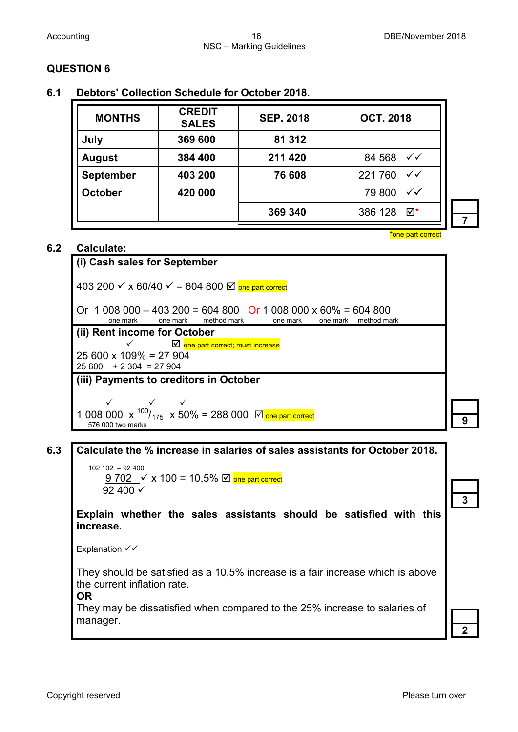**6.1 Debtors' Collection Schedule for October 2018.** 

| <b>MONTHS</b>    | <b>CREDIT</b><br><b>SALES</b> | <b>SEP. 2018</b> | <b>OCT. 2018</b>       |
|------------------|-------------------------------|------------------|------------------------|
| July             | 369 600                       | 81 312           |                        |
| <b>August</b>    | 384 400                       | 211 420          | 84 568 √√              |
| <b>September</b> | 403 200                       | 76 608           | $\checkmark$<br>221760 |
| <b>October</b>   | 420 000                       |                  | 79 800<br>$\checkmark$ |
|                  |                               | 369 340          | 386 128<br>⊠*          |
|                  |                               |                  | *one part correct      |

#### **6.2 Calculate:**

**(i) Cash sales for September** 403 200  $\times$  x 60/40  $\times$  = 604 800  $\times$  one part correct Or  $1\,008\,000 - 403\,200 = 604\,800$  Or  $1\,008\,000 \times 60\% = 604\,800$ <br>
one mark one mark one mark method mark one mark method mark **(ii) Rent income for October**  $\boxtimes$  one part correct; must increase 25 600 x 109% = 27 904 25 600 + 2 304 = 27 904 **9 (iii) Payments to creditors in October**  $\checkmark$   $\checkmark$   $\checkmark$  $1\ 008\ 000\ \times^{100}$ / $_{175}\ \times 50\%$  = 288 000  $\ \boxtimes$  one part correct 576 000 two marks

**6.3 Calculate the % increase in salaries of sales assistants for October 2018.** 

 102 102 – 92 400  $9702$   $\times$  x 100 = 10,5%  $\boxtimes$  one part correct 92 400 $\checkmark$ 

**Explain whether the sales assistants should be satisfied with this increase.**

Explanation  $\checkmark\checkmark$ 

They should be satisfied as a 10,5% increase is a fair increase which is above the current inflation rate.

**OR** 

They may be dissatisfied when compared to the 25% increase to salaries of manager.

**2**